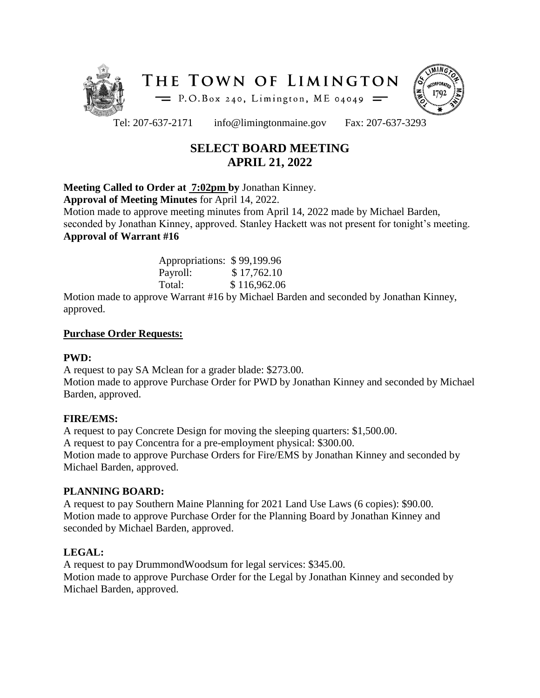



Tel: 207-637-2171 info@limingtonmaine.gov Fax: 207-637-3293

# **SELECT BOARD MEETING APRIL 21, 2022**

# **Meeting Called to Order at 7:02pm by** Jonathan Kinney.

**Approval of Meeting Minutes** for April 14, 2022.

Motion made to approve meeting minutes from April 14, 2022 made by Michael Barden, seconded by Jonathan Kinney, approved. Stanley Hackett was not present for tonight's meeting. **Approval of Warrant #16**

| Appropriations: \$99,199.96 |              |
|-----------------------------|--------------|
| Payroll:                    | \$17,762.10  |
| Total:                      | \$116,962.06 |

Motion made to approve Warrant #16 by Michael Barden and seconded by Jonathan Kinney, approved.

## **Purchase Order Requests:**

#### **PWD:**

A request to pay SA Mclean for a grader blade: \$273.00. Motion made to approve Purchase Order for PWD by Jonathan Kinney and seconded by Michael Barden, approved.

# **FIRE/EMS:**

A request to pay Concrete Design for moving the sleeping quarters: \$1,500.00. A request to pay Concentra for a pre-employment physical: \$300.00. Motion made to approve Purchase Orders for Fire/EMS by Jonathan Kinney and seconded by Michael Barden, approved.

# **PLANNING BOARD:**

A request to pay Southern Maine Planning for 2021 Land Use Laws (6 copies): \$90.00. Motion made to approve Purchase Order for the Planning Board by Jonathan Kinney and seconded by Michael Barden, approved.

# **LEGAL:**

A request to pay DrummondWoodsum for legal services: \$345.00. Motion made to approve Purchase Order for the Legal by Jonathan Kinney and seconded by Michael Barden, approved.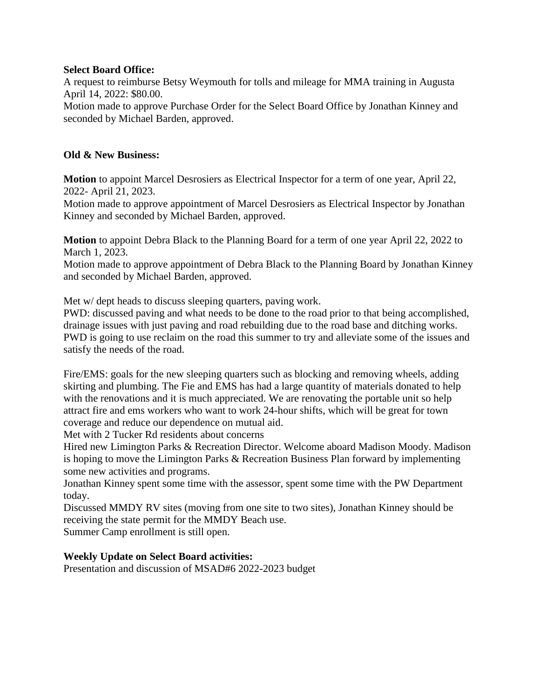## **Select Board Office:**

A request to reimburse Betsy Weymouth for tolls and mileage for MMA training in Augusta April 14, 2022: \$80.00.

Motion made to approve Purchase Order for the Select Board Office by Jonathan Kinney and seconded by Michael Barden, approved.

#### **Old & New Business:**

**Motion** to appoint Marcel Desrosiers as Electrical Inspector for a term of one year, April 22, 2022- April 21, 2023.

Motion made to approve appointment of Marcel Desrosiers as Electrical Inspector by Jonathan Kinney and seconded by Michael Barden, approved.

**Motion** to appoint Debra Black to the Planning Board for a term of one year April 22, 2022 to March 1, 2023.

Motion made to approve appointment of Debra Black to the Planning Board by Jonathan Kinney and seconded by Michael Barden, approved.

Met w/ dept heads to discuss sleeping quarters, paving work.

PWD: discussed paving and what needs to be done to the road prior to that being accomplished, drainage issues with just paving and road rebuilding due to the road base and ditching works. PWD is going to use reclaim on the road this summer to try and alleviate some of the issues and satisfy the needs of the road.

Fire/EMS: goals for the new sleeping quarters such as blocking and removing wheels, adding skirting and plumbing. The Fie and EMS has had a large quantity of materials donated to help with the renovations and it is much appreciated. We are renovating the portable unit so help attract fire and ems workers who want to work 24-hour shifts, which will be great for town coverage and reduce our dependence on mutual aid.

Met with 2 Tucker Rd residents about concerns

Hired new Limington Parks & Recreation Director. Welcome aboard Madison Moody. Madison is hoping to move the Limington Parks & Recreation Business Plan forward by implementing some new activities and programs.

Jonathan Kinney spent some time with the assessor, spent some time with the PW Department today.

Discussed MMDY RV sites (moving from one site to two sites), Jonathan Kinney should be receiving the state permit for the MMDY Beach use.

Summer Camp enrollment is still open.

#### **Weekly Update on Select Board activities:**

Presentation and discussion of MSAD#6 2022-2023 budget